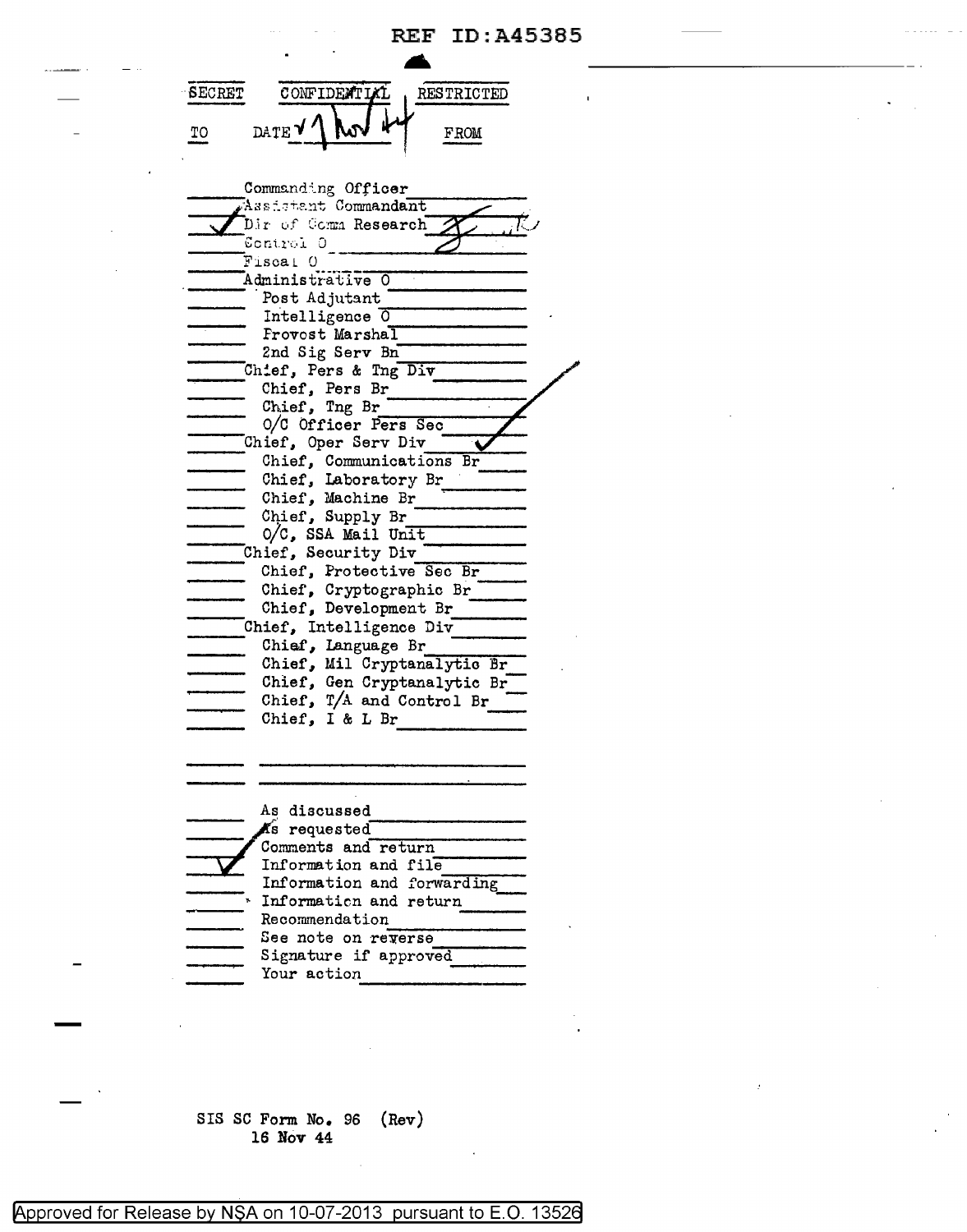**A SECRET** CONFIDENTL **RESTRICTED** DATE<sup>V</sup> TO **FROM** ---, Co:mm!l.nd~\_ng Officer ......,. \_\_\_\_ \_ ~as~\_.:+.~-~rt Commandant **,,,.c::.**  Assistant Commandant Dir of Comm Research **of Comm Research** 1 Administrative o --- ·Post Adjufant ------- Intelligence  $\overline{0}$ <br>Frovost Marshal 2nd Sig Serv Bn --:....------ Ch!ef, Pers & Tng Div --- Chief, Pers Br ------- Chief, Tng Br --------~ o/c Officer P~e-r\_s\_S~e-c \_\_\_ .....,.\_ O/C Officer Pers Sec<br>ief, Oper Serv Div<br>Chief, Communications Br Chief, Oper Serv Div Chief, Laboratory Br --- Chi e i', Machine Br ..------ Chief, Laboratory Br<br>Chief, Machine Br<br>Chief, Supply Br<br>O/C, SSA Mail Unit Chief, Security Div ------ Chief, Protective ---------- Sec Br Chief, Cryptographic Br ---- Chief, Development Br --- Chief, Intelligence Div ---- ---- Chief, Language Br ----- -,,...\_,...,,,\_\_...,...\_ Chief, Mil Cryptanalytic Br

| As discussed               |
|----------------------------|
| Ks requested               |
| Comments and return        |
| Information and file       |
| Information and forwarding |
| Information and return     |
| Recommendation             |
| See note on reverse        |
| Signature if approved      |
| Your action                |
|                            |

Chief, Gen Cryptanalytic Br Chief,  $T/A$  and Control Br Chief, I & L Br

SIS SC Form No. 96 (Rev) **16 Nov 44** 

Approved for Release by NSA on 10-07-2013 pursuant to E.O. 13526